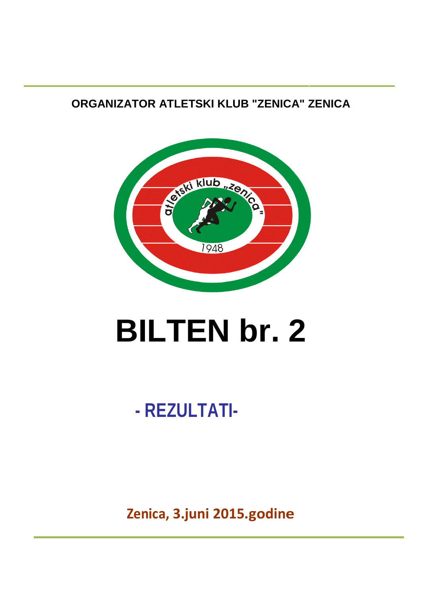**ORGANIZATOR ATLETSKI KLUB "ZENICA" ZENICA** 



# **BILTEN br. 2**

## **- REZULTATI-**

**Zenica, 3.juni 2015.godine**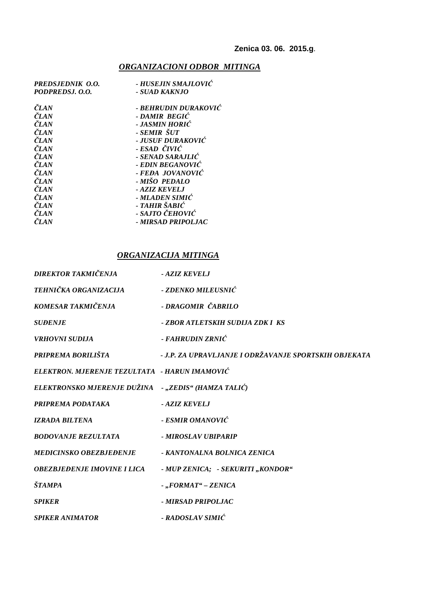### *ORGANIZACIONI ODBOR MITINGA*

| PREDSJEDNIK O.O. | - HUSEJIN SMAJLOVIĆ  |
|------------------|----------------------|
| PODPREDSJ. O.O.  | - SUAD KAKNJO        |
| <b>ČLAN</b>      | - BEHRUDIN DURAKOVIĆ |
| <b>ČLAN</b>      | - DAMIR BEGIC        |
| ČLAN             | - JASMIN HORIĆ       |
| <b>ČLAN</b>      | - SEMIR ŠUT          |
| <b>ČLAN</b>      | - JUSUF DURAKOVIĆ    |
| <b>ČLAN</b>      | - ESAD ČIVIĆ         |
| ČLAN             | - SENAD SARAJLIĆ     |
| ČLAN             | - EDIN BEGANOVIĆ     |
| ČLAN             | - FEÐA JOVANOVIĆ     |
| ČLAN             | - MIŠO-PEDALO        |
| ČLAN             | - AZIZ KEVELJ        |
| <b>ČLAN</b>      | - MLADEN SIMIĆ       |
| ČLAN             | - TAHIR ŠABIĆ        |
| ČLAN             | - SAJTO ČEHOVIĆ      |
| ČLAN             | - MIRSAD PRIPOLJAC   |
|                  |                      |

### *ORGANIZACIJA MITINGA*

| DIREKTOR TAKMIČENJA                                 | - AZIZ KEVELJ                                         |
|-----------------------------------------------------|-------------------------------------------------------|
| TEHNIČKA ORGANIZACIJA                               | - ZDENKO MILEUSNIĆ                                    |
| KOMESAR TAKMIČENJA                                  | - DRAGOMIR ČABRILO                                    |
| <b>SUDENJE</b>                                      | - ZBOR ATLETSKIH SUDIJA ZDK I KS                      |
| <b>VRHOVNI SUDLIA</b>                               | - FAHRUDIN ZRNIĆ                                      |
| PRIPREMA BORILIŠTA                                  | - J.P. ZA UPRAVLJANJE I ODRŽAVANJE SPORTSKIH OBJEKATA |
| ELEKTRON. MJERENJE TEZULTATA - HARUN IMAMOVIĆ       |                                                       |
| ELEKTRONSKO MJERENJE DUŽINA -,,ZEDIS" (HAMZA TALIĆ) |                                                       |
| PRIPREMA PODATAKA                                   | - AZIZ KEVELJ                                         |
| <b>IZRADA BILTENA</b>                               | - ESMIR OMANOVIĆ                                      |
| <b>BODOVANJE REZULTATA</b>                          | - MIROSLAV UBIPARIP                                   |
| <b>MEDICINSKO OBEZBJEĐENJE</b>                      | - KANTONALNA BOLNICA ZENICA                           |
| OBEZBJEĐENJE IMOVINE I LICA                         | - MUP ZENICA; - SEKURITI "KONDOR"                     |
| <b>ŠTAMPA</b>                                       | $-.$ FORMAT" – ZENICA                                 |
| <b>SPIKER</b>                                       | - MIRSAD PRIPOLIAC                                    |
| <b>SPIKER ANIMATOR</b>                              | - RADOSLAV SIMIĆ                                      |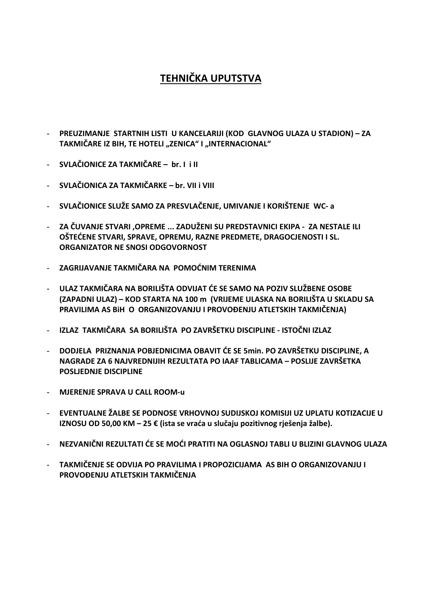### **TEHNIČKA UPUTSTVA**

- **PREUZIMANJE STARTNIH LISTI U KANCELARIJI (KOD GLAVNOG ULAZA U STADION) ZA**  TAKMIČARE IZ BIH, TE HOTELI "ZENICA" I "INTERNACIONAL"
- **SVLAČIONICE ZA TAKMIČARE br. I i II**
- **SVLAČIONICA ZA TAKMIČARKE br. VII i VIII**
- **SVLAČIONICE SLUŽE SAMO ZA PRESVLAČENJE, UMIVANJE I KORIŠTENJE WC- a**
- **ZA ČUVANJE STVARI ,OPREME ... ZADUŽENI SU PREDSTAVNICI EKIPA ZA NESTALE ILI OŠTEĆENE STVARI, SPRAVE, OPREMU, RAZNE PREDMETE, DRAGOCJENOSTI I SL. ORGANIZATOR NE SNOSI ODGOVORNOST**
- **ZAGRIJAVANJE TAKMIČARA NA POMOĆNIM TERENIMA**
- **ULAZ TAKMIČARA NA BORILIŠTA ODVIJAT ĆE SE SAMO NA POZIV SLUŽBENE OSOBE (ZAPADNI ULAZ) – KOD STARTA NA 100 m (VRIJEME ULASKA NA BORILIŠTA U SKLADU SA PRAVILIMA AS BiH O ORGANIZOVANJU I PROVOĐENJU ATLETSKIH TAKMIČENJA)**
- **IZLAZ TAKMIČARA SA BORILIŠTA PO ZAVRŠETKU DISCIPLINE ISTOČNI IZLAZ**
- **DODJELA PRIZNANJA POBJEDNICIMA OBAVIT ĆE SE 5min. PO ZAVRŠETKU DISCIPLINE, A NAGRADE ZA 6 NAJVREDNIJIH REZULTATA PO IAAF TABLICAMA – POSLIJE ZAVRŠETKA POSLJEDNJE DISCIPLINE**
- **MJERENJE SPRAVA U CALL ROOM-u**
- **EVENTUALNE ŽALBE SE PODNOSE VRHOVNOJ SUDIJSKOJ KOMISIJI UZ UPLATU KOTIZACIJE U IZNOSU OD 50,00 KM – 25 € (ista se vraća u slučaju pozitivnog rješenja žalbe).**
- **NEZVANIČNI REZULTATI ĆE SE MOĆI PRATITI NA OGLASNOJ TABLI U BLIZINI GLAVNOG ULAZA**
- **TAKMIČENJE SE ODVIJA PO PRAVILIMA I PROPOZICIJAMA AS BIH O ORGANIZOVANJU I PROVOĐENJU ATLETSKIH TAKMIČENJA**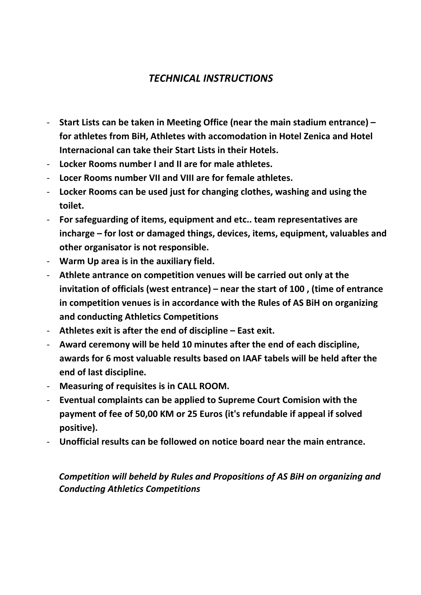### *TECHNICAL INSTRUCTIONS*

- **Start Lists can be taken in Meeting Office (near the main stadium entrance) for athletes from BiH, Athletes with accomodation in Hotel Zenica and Hotel Internacional can take their Start Lists in their Hotels.**
- **Locker Rooms number I and II are for male athletes.**
- **Locer Rooms number VII and VIII are for female athletes.**
- **Locker Rooms can be used just for changing clothes, washing and using the toilet.**
- **For safeguarding of items, equipment and etc.. team representatives are incharge – for lost or damaged things, devices, items, equipment, valuables and other organisator is not responsible.**
- **Warm Up area is in the auxiliary field.**
- **Athlete antrance on competition venues will be carried out only at the invitation of officials (west entrance) – near the start of 100 , (time of entrance in competition venues is in accordance with the Rules of AS BiH on organizing and conducting Athletics Competitions**
- **Athletes exit is after the end of discipline East exit.**
- **Award ceremony will be held 10 minutes after the end of each discipline, awards for 6 most valuable results based on IAAF tabels will be held after the end of last discipline.**
- **Measuring of requisites is in CALL ROOM.**
- **Eventual complaints can be applied to Supreme Court Comision with the payment of fee of 50,00 KM or 25 Euros (it's refundable if appeal if solved positive).**
- **Unofficial results can be followed on notice board near the main entrance.**

*Competition will beheld by Rules and Propositions of AS BiH on organizing and Conducting Athletics Competitions*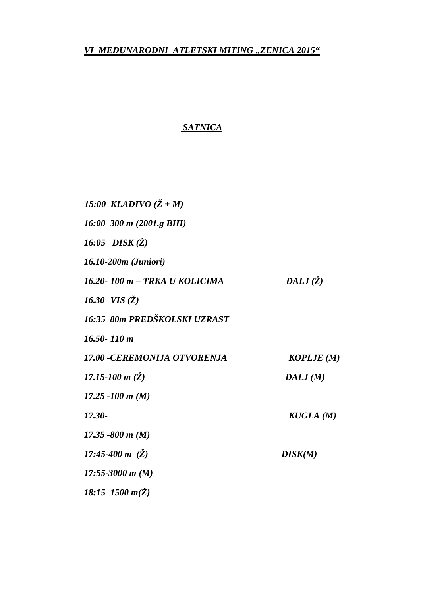*VI MEĐUNARODNI ATLETSKI MITING "ZENICA 2015"* 

### *SATNICA*

 *15:00 KLADIVO (Ž + M) 16:00 300 m (2001.g BIH) 16:05 DISK (Ž) 16.10-200m (Juniori) 16.20- 100 m – TRKA U KOLICIMA DALJ (Ž) 16.30 VIS (Ž) 16:35 80m PREDŠKOLSKI UZRAST 16.50- 110 m 17.00 -CEREMONIJA OTVORENJA KOPLJE (M) 17.15-100 m (Ž) DALJ (M) 17.25 -100 m (M) 17.30- KUGLA (M) 17.35 -800 m (M) 17:45-400 m (Ž) DISK(M) 17:55-3000 m (M) 18:15 1500 m(Ž)*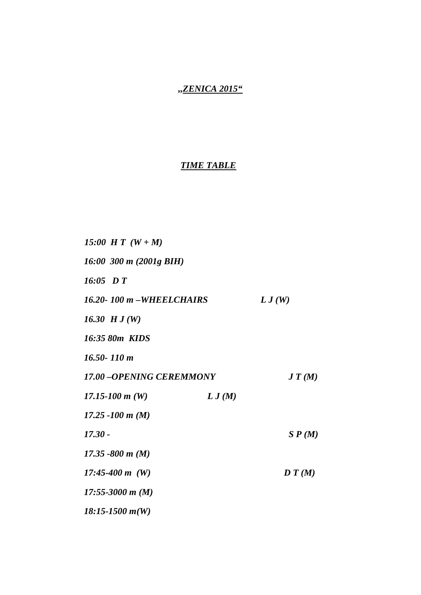### *,,ZENICA 2015"*

### *TIME TABLE*

| 15:00 H T $(W + M)$               |        |        |
|-----------------------------------|--------|--------|
| 16:00 300 m $(2001g \text{ BIH})$ |        |        |
| $16:05$ DT                        |        |        |
| 16.20-100 m - WHEELCHAIRS         |        | L J(W) |
| 16.30 $HJ(W)$                     |        |        |
| 16:35 80m KIDS                    |        |        |
| $16.50 - 110 m$                   |        |        |
| <b>17.00 -OPENING CEREMMONY</b>   |        | J T(M) |
| 17.15-100 $m(W)$                  | L J(M) |        |
| 17.25 -100 m $(M)$                |        |        |
| $17.30 -$                         |        | S P(M) |
| 17.35 -800 m $(M)$                |        |        |
| 17:45-400 m $(W)$                 |        | D T(M) |
| 17:55-3000 m $(M)$                |        |        |
| $18:15-1500$ m(W)                 |        |        |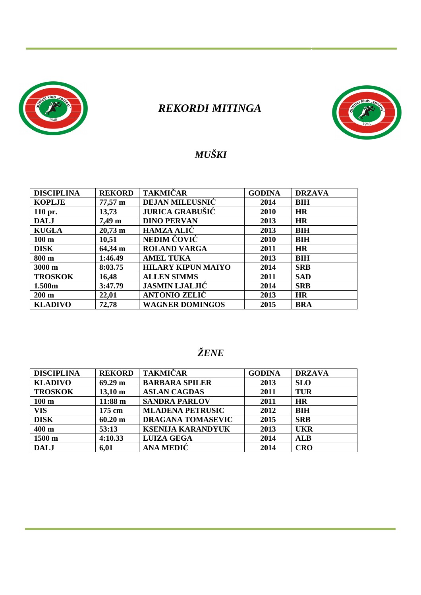

### *REKORDI MITINGA*



### *MUŠKI*

| <b>DISCIPLINA</b>  | <b>REKORD</b>         | <b>TAKMIČAR</b>           | <b>GODINA</b> | <b>DRZAVA</b> |
|--------------------|-----------------------|---------------------------|---------------|---------------|
| <b>KOPLJE</b>      | $77,57 \; \text{m}$   | <b>DEJAN MILEUSNIC</b>    | 2014          | <b>BIH</b>    |
| $110$ pr.          | 13,73                 | <b>JURICA GRABUŠIĆ</b>    | 2010          | <b>HR</b>     |
| <b>DALJ</b>        | $7,49 \text{ m}$      | <b>DINO PERVAN</b>        | 2013          | <b>HR</b>     |
| <b>KUGLA</b>       | $20,73 \; \mathrm{m}$ | <b>HAMZA ALIC</b>         | 2013          | <b>BIH</b>    |
| $100 \text{ m}$    | 10,51                 | NEDIM ČOVIĆ               | 2010          | <b>BIH</b>    |
| <b>DISK</b>        | 64,34 m               | <b>ROLAND VARGA</b>       | 2011          | <b>HR</b>     |
| 800 m              | 1:46.49               | <b>AMEL TUKA</b>          | 2013          | <b>BIH</b>    |
| 3000 m             | 8:03.75               | <b>HILARY KIPUN MAIYO</b> | 2014          | <b>SRB</b>    |
| <b>TROSKOK</b>     | 16,48                 | <b>ALLEN SIMMS</b>        | 2011          | <b>SAD</b>    |
| 1.500 <sub>m</sub> | 3:47.79               | <b>JASMIN LJALJIĆ</b>     | 2014          | <b>SRB</b>    |
| $200 \text{ m}$    | 22,01                 | <b>ANTONIO ZELIĆ</b>      | 2013          | <b>HR</b>     |
| <b>KLADIVO</b>     | 72,78                 | <b>WAGNER DOMINGOS</b>    | 2015          | <b>BRA</b>    |

### *ŽENE*

| <b>DISCIPLINA</b> | <b>REKORD</b>         | <b>TAKMIČAR</b>          | <b>GODINA</b> | <b>DRZAVA</b> |
|-------------------|-----------------------|--------------------------|---------------|---------------|
| <b>KLADIVO</b>    | $69.29 \text{ m}$     | <b>BARBARA SPILER</b>    | 2013          | <b>SLO</b>    |
| <b>TROSKOK</b>    | $13,10 \; \mathrm{m}$ | <b>ASLAN CAGDAS</b>      | 2011          | <b>TUR</b>    |
| $100 \text{ m}$   | $11:88 \; m$          | <b>SANDRA PARLOV</b>     | 2011          | <b>HR</b>     |
| VIS               | 175 cm                | <b>MLADENA PETRUSIC</b>  | 2012          | <b>BIH</b>    |
| <b>DISK</b>       | $60.20 \text{ m}$     | <b>DRAGANA TOMASEVIC</b> | 2015          | <b>SRB</b>    |
| 400 m             | 53:13                 | <b>KSENIJA KARANDYUK</b> | 2013          | <b>UKR</b>    |
| 1500 m            | 4:10.33               | <b>LUIZA GEGA</b>        | 2014          | <b>ALB</b>    |
| <b>DALJ</b>       | 6,01                  | ANA MEDIĆ                | 2014          | <b>CRO</b>    |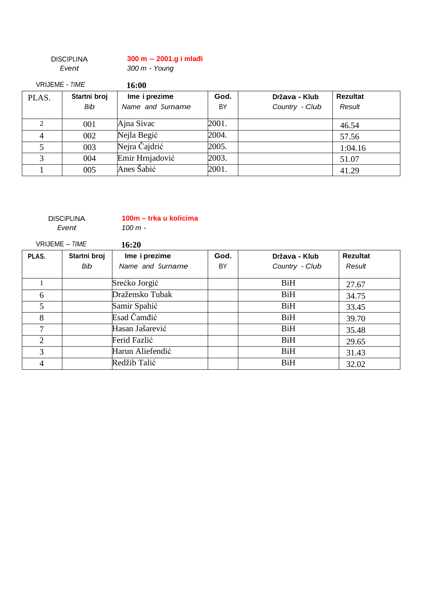|                       | <b>DISCIPLINA</b> | $300 m - 2001$ .g i mlađi |       |                |                 |
|-----------------------|-------------------|---------------------------|-------|----------------|-----------------|
|                       | Event             | 300 m - Young             |       |                |                 |
| <b>VRIJEME - TIME</b> |                   | 16:00                     |       |                |                 |
| PLAS.                 | Startni broj      | Ime i prezime             | God.  | Država - Klub  | <b>Rezultat</b> |
|                       | Bib               | Name and Surname          | BY    | Country - Club | Result          |
|                       |                   |                           |       |                |                 |
| $\mathcal{L}$         | 001               | Ajna Sivac                | 2001. |                | 46.54           |
| 4                     | 002               | Nejla Begić               | 2004. |                | 57.56           |
| 5                     | 003               | Nejra Čajdrić             | 2005. |                | 1:04.16         |
| 3                     | 004               | Emir Hrnjadović           | 2003. |                | 51.07           |
|                       | 005               | Anes Šabić                | 2001. |                | 41.29           |

### **DISCIPLINA**

**100m – trka u kolicima**

Event

100 m -

|       | VRIJEME - TIME                | 16:20            |      |                |                 |
|-------|-------------------------------|------------------|------|----------------|-----------------|
| PLAS. | Startni broj<br>Ime i prezime |                  | God. | Država - Klub  | <b>Rezultat</b> |
|       | Bib                           | Name and Surname | BY   | Country - Club | Result          |
|       |                               | Srećko Jorgić    |      | <b>BiH</b>     | 27.67           |
| 6     |                               | Dražensko Tubak  |      | <b>BiH</b>     | 34.75           |
| 5     |                               | Samir Spahić     |      | <b>BiH</b>     | 33.45           |
| 8     |                               | Esad Čamđić      |      | <b>BiH</b>     | 39.70           |
| 7     |                               | Hasan Jašarević  |      | <b>BiH</b>     | 35.48           |
| 2     |                               | Ferid Fazlić     |      | <b>BiH</b>     | 29.65           |
| 3     |                               | Harun Aliefendić |      | <b>BiH</b>     | 31.43           |
| 4     |                               | Redžib Talić     |      | <b>BiH</b>     | 32.02           |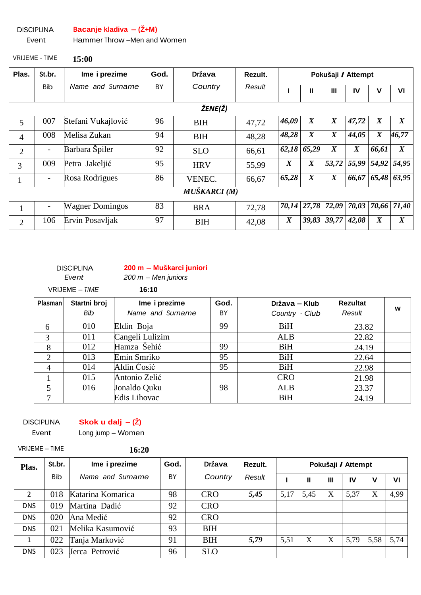DISCIPLINA **Bacanje kladiva – (Ž+M)**

#### Event Hammer Throw –Men and Women

VRIJEME - TIME **15:00** 

| Plas.          | St.br.                   | Ime i prezime          | God. | <b>Država</b>     | Rezult. |                  | Pokušaji / Attempt |                  |                  |                  |                   |
|----------------|--------------------------|------------------------|------|-------------------|---------|------------------|--------------------|------------------|------------------|------------------|-------------------|
|                | Bib                      | Name and Surname       | BY   | Country<br>Result |         |                  | Ш                  | Ш                | IV               | v                | VI                |
|                | ŽENE(Ž)                  |                        |      |                   |         |                  |                    |                  |                  |                  |                   |
| 5              | 007                      | Stefani Vukajlović     | 96   | <b>BIH</b>        | 47,72   | 46,09            | $\boldsymbol{X}$   | $\boldsymbol{X}$ | 47,72            | $\boldsymbol{X}$ | $\boldsymbol{X}$  |
| $\overline{4}$ | 008                      | Melisa Zukan           | 94   | <b>BIH</b>        | 48,28   | 48,28            | $\boldsymbol{X}$   | $\boldsymbol{X}$ | 44,05            | $\boldsymbol{X}$ | 46,77             |
| $\overline{2}$ | $\qquad \qquad -$        | Barbara Špiler         | 92   | <b>SLO</b>        | 66,61   | 62,18            | 65,29              | $\boldsymbol{X}$ | $\boldsymbol{X}$ | 66,61            | $\boldsymbol{X}$  |
| 3              | 009                      | Petra Jakeljić         | 95   | <b>HRV</b>        | 55,99   | $\boldsymbol{X}$ | $\boldsymbol{X}$   | 53,72            | 55,99            | 54,92            | 54,95             |
|                | $\overline{\phantom{0}}$ | Rosa Rodrigues         | 86   | VENEC.            | 66,67   | 65,28            | $\boldsymbol{X}$   | $\boldsymbol{X}$ | 66,67            | 65,48            | 63,95             |
|                |                          |                        |      | MUŠKARCI (M)      |         |                  |                    |                  |                  |                  |                   |
| $\bf{I}$       | -                        | <b>Wagner Domingos</b> | 83   | <b>BRA</b>        | 72,78   | 70,14            | 27,78              | 72,09            |                  |                  | 70,03 70,66 71,40 |
| $\overline{2}$ | 106                      | Ervin Posavljak        | 97   | <b>BIH</b>        | 42,08   | $\boldsymbol{X}$ | 39,83              | 39,77            | 42,08            | $\boldsymbol{X}$ | $\boldsymbol{X}$  |

DISCIPLINA

**200 m – Muškarci juniori**

Event

 $200 m - M$ en juniors VRIJEME – TIME **16:10** 

| Plasman        | Startni broj<br>Bib | Ime i prezime<br>God.<br>Name and Surname<br>BY |    | Država – Klub<br>Country - Club | <b>Rezultat</b><br>Result | W |
|----------------|---------------------|-------------------------------------------------|----|---------------------------------|---------------------------|---|
|                |                     |                                                 |    |                                 |                           |   |
| 6              | 010                 | Eldin Boja                                      | 99 | BiH                             | 23.82                     |   |
| 3              | 011                 | Cangeli Lulizim                                 |    | <b>ALB</b>                      | 22.82                     |   |
| 8              | 012                 | Hamza Šehić                                     | 99 | <b>BiH</b>                      | 24.19                     |   |
| 2              | 013                 | Emin Smriko                                     | 95 | <b>BiH</b>                      | 22.64                     |   |
| $\overline{4}$ | 014                 | Aldin Ćosić                                     | 95 | <b>BiH</b>                      | 22.98                     |   |
|                | 015                 | Antonio Zelić                                   |    | <b>CRO</b>                      | 21.98                     |   |
|                | 016                 | Jonaldo Quku                                    | 98 | <b>ALB</b>                      | 23.37                     |   |
|                |                     | Edis Lihovac                                    |    | <b>BiH</b>                      | 24.19                     |   |

**DISCIPLINA** 

**Skok u dalj – (Ž)**

Event

### Long jump – Women

VRIJEME – TIME **16:20** 

| Plas.        | St.br.     | Ime i prezime     | God. | <b>Država</b> | Rezult. | Pokušaji / Attempt |      |   |      |      |      |
|--------------|------------|-------------------|------|---------------|---------|--------------------|------|---|------|------|------|
|              | <b>Bib</b> | Name and Surname  | BY   | Country       | Result  |                    | Ш    | Ш | IV   | V    | VI   |
| 2            | 018        | Katarina Komarica | 98   | <b>CRO</b>    | 5,45    | 5,17               | 5,45 | X | 5,37 | X    | 4,99 |
| <b>DNS</b>   | 019        | Martina Dadić     | 92   | <b>CRO</b>    |         |                    |      |   |      |      |      |
| <b>DNS</b>   | 020        | Ana Medić         | 92   | <b>CRO</b>    |         |                    |      |   |      |      |      |
| <b>DNS</b>   | 021        | Melika Kasumović  | 93   | <b>BIH</b>    |         |                    |      |   |      |      |      |
| $\mathbf{1}$ | 022        | Tanja Marković    | 91   | <b>BIH</b>    | 5,79    | 5,51               | X    | X | 5,79 | 5,58 | 5,74 |
| <b>DNS</b>   | 023        | Jerca Petrović    | 96   | <b>SLO</b>    |         |                    |      |   |      |      |      |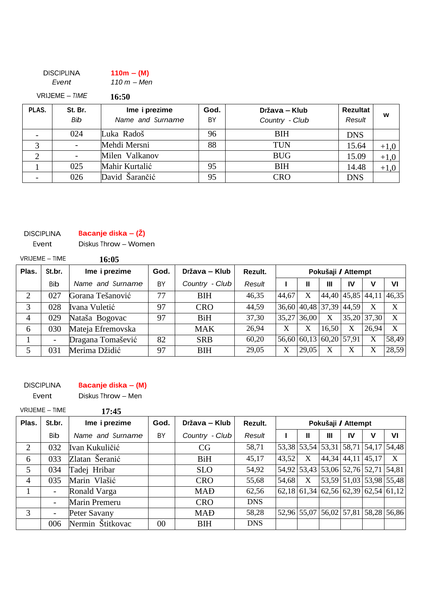| <b>DISCIPLINA</b> | $110m - (M)$ |
|-------------------|--------------|
| Event             | 110 m – Men  |
| VRIJEME – TIME    | <b>16:50</b> |

| PLAS. | St. Br.<br>Bib | Ime i prezime<br>Name and Surname | God.<br>BY | Država – Klub<br>Country - Club | <b>Rezultat</b><br>Result | w      |
|-------|----------------|-----------------------------------|------------|---------------------------------|---------------------------|--------|
|       | 024            | Luka Radoš                        | 96         | BIH                             | <b>DNS</b>                |        |
|       |                | Mehdi Mersni                      | 88         | <b>TUN</b>                      | 15.64                     | $+1,0$ |
|       |                | Milen Valkanov                    |            | <b>BUG</b>                      | 15.09                     | $+1,0$ |
|       | 025            | Mahir Kurtalić                    | 95         | <b>BIH</b>                      | 14.48                     | $+1,0$ |
|       | 026            | David Šarančić                    | 95         | <b>CRO</b>                      | <b>DNS</b>                |        |

### **Bacanje diska – (Ž)**

DISCIPLINA Event

Diskus Throw – Women

|       | VRIJEME - TIME           | 16:05             |      |                |         |       |             |                    |                             |             |       |
|-------|--------------------------|-------------------|------|----------------|---------|-------|-------------|--------------------|-----------------------------|-------------|-------|
| Plas. | St.br.                   | Ime i prezime     | God. | Država – Klub  | Rezult. |       |             | Pokušaji / Attempt |                             |             |       |
|       | Bib                      | Name and Surname  | BY   | Country - Club | Result  |       | Ш           | Ш                  | IV                          | V           | VI    |
| 2     | 027                      | Gorana Tešanović  | 77   | <b>BIH</b>     | 46,35   | 44,67 | X           |                    | $44,40$   $45,85$   $44,11$ |             | 46,35 |
| 3     | 028                      | Ivana Vuletić     | 97   | <b>CRO</b>     | 44,59   |       |             | 36,60 40,48 37,39  | 44,59                       | X           | X     |
| 4     | 029                      | Nataša Bogovac    | 97   | <b>BiH</b>     | 37,30   |       | 35,27 36,00 | X                  |                             | 35,20 37,30 | X     |
| 6     | 030                      | Mateja Efremovska |      | <b>MAK</b>     | 26,94   | X     | X           | 16,50              | X                           | 26,94       | X     |
|       | $\overline{\phantom{a}}$ | Dragana Tomašević | 82   | <b>SRB</b>     | 60,20   |       | 56,60 60,13 | 60,20              | 57,91                       | X           | 58,49 |
| 5     | 031                      | Merima Džidić     | 97   | <b>BIH</b>     | 29,05   | X     | 29,05       | X                  | X                           | X           | 28,59 |

#### DISCIPLINA **Bacanje diska – (M)**

Event Diskus Throw – Men

VRIJEME – TIME **17:45** 

| Plas.          | St.br.                   | Ime i prezime    | God.   | Država – Klub  | Rezult.    |       |   | Pokušaji / Attempt |    |                                       |              |
|----------------|--------------------------|------------------|--------|----------------|------------|-------|---|--------------------|----|---------------------------------------|--------------|
|                | <b>Bib</b>               | Name and Surname | BY     | Country - Club | Result     |       | Ш | Ш                  | IV | V                                     | VI           |
| $\overline{2}$ | 032                      | Ivan Kukuličić   |        | CG             | 58,71      |       |   |                    |    | 53,38 53,54 53,31 58,71 54,17 54,48   |              |
| 6              | 033                      | Zlatan Šeranić   |        | <b>BiH</b>     | 45,17      | 43,52 | X |                    |    | 44, 34 44, 11 45, 17                  | $\mathbf{X}$ |
| 5              | 034                      | Tadej Hribar     |        | <b>SLO</b>     | 54,92      |       |   |                    |    | 54,92 53,43 53,06 52,76 52,71 54,81   |              |
| 4              | 035                      | Marin Vlašić     |        | <b>CRO</b>     | 55,68      | 54,68 | X |                    |    | 53,59 51,03 53,98 55,48               |              |
|                | $\overline{\phantom{a}}$ | Ronald Varga     |        | <b>MAD</b>     | 62,56      |       |   |                    |    | $62,18$ 61,34 62,56 62,39 62,54 61,12 |              |
|                | $\overline{\phantom{a}}$ | Marin Premeru    |        | <b>CRO</b>     | <b>DNS</b> |       |   |                    |    |                                       |              |
| 3              | $\overline{\phantom{a}}$ | Peter Savany     |        | <b>MAD</b>     | 58,28      |       |   |                    |    | 52,96 55,07 56,02 57,81 58,28 56,86   |              |
|                | 006                      | Nermin Štitkovac | $00\,$ | <b>BIH</b>     | <b>DNS</b> |       |   |                    |    |                                       |              |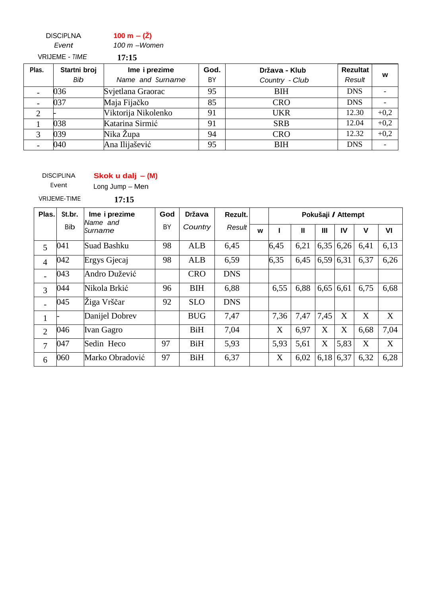DISCIPLNA Event **100 m – (Ž)**  100 m –Women VRIJEME - TIME **17:15** 

| Plas. | Startni broj | Ime i prezime       | God. | Država - Klub  | Rezultat   |        |
|-------|--------------|---------------------|------|----------------|------------|--------|
|       | Bib          | Name and Surname    | BY   | Country - Club | Result     | W      |
|       | 036          | Svjetlana Graorac   | 95   | <b>BIH</b>     | <b>DNS</b> |        |
|       | 037          | Maja Fijačko        | 85   | <b>CRO</b>     | <b>DNS</b> |        |
| ◠     |              | Viktorija Nikolenko | 91   | <b>UKR</b>     | 12.30      | $+0,2$ |
|       | 038          | Katarina Sirmić     | 91   | <b>SRB</b>     | 12.04      | $+0,2$ |
|       | 039          | Nika Župa           | 94   | <b>CRO</b>     | 12.32      | $+0,2$ |
|       | 040          | Ana Ilijašević      | 95   | <b>BIH</b>     | <b>DNS</b> |        |

DISCIPLINA

**Skok u dalj – (M)**

Event Long Jump – Men

VRIJEME-TIME **17:15** 

| Plas.          | St.br.     | Ime i prezime<br>lName and | God | <b>Država</b> | Rezult.    |   |      | Pokušaji / Attempt |             |       |             |      |  |  |
|----------------|------------|----------------------------|-----|---------------|------------|---|------|--------------------|-------------|-------|-------------|------|--|--|
|                | <b>Bib</b> | lSurname                   | BY  | Country       | Result     | w |      | Ш                  | Ш           | IV    | $\mathbf v$ | VI   |  |  |
| 5              | 041        | Suad Bashku                | 98  | <b>ALB</b>    | 6,45       |   | 6,45 | 6,21               | 6,35        | 6,26  | 6,41        | 6,13 |  |  |
| $\overline{4}$ | 042        | Ergys Gjecaj               | 98  | <b>ALB</b>    | 6,59       |   | 6,35 | 6,45               | 6,59        | 6,31  | 6,37        | 6,26 |  |  |
|                | 043        | Andro Dužević              |     | <b>CRO</b>    | <b>DNS</b> |   |      |                    |             |       |             |      |  |  |
| 3              | 044        | Nikola Brkić               | 96  | <b>BIH</b>    | 6,88       |   | 6,55 | 6,88               | $6,65$ 6.61 |       | 6,75        | 6,68 |  |  |
|                | 045        | Žiga Vrščar                | 92  | <b>SLO</b>    | <b>DNS</b> |   |      |                    |             |       |             |      |  |  |
| 1              |            | Danijel Dobrev             |     | <b>BUG</b>    | 7,47       |   | 7,36 | 7,47               | 7,45        | X     | X           | X    |  |  |
| $\overline{2}$ | 046        | Ivan Gagro                 |     | <b>BiH</b>    | 7,04       |   | X    | 6,97               | X           | X     | 6,68        | 7,04 |  |  |
| 7              | 047        | Sedin Heco                 | 97  | <b>BiH</b>    | 5,93       |   | 5,93 | 5,61               | X           | 5,83  | X           | X    |  |  |
| 6              | 060        | Marko Obradović            | 97  | <b>BiH</b>    | 6,37       |   | X    | 6,02               | 6,18        | 16,37 | 6,32        | 6,28 |  |  |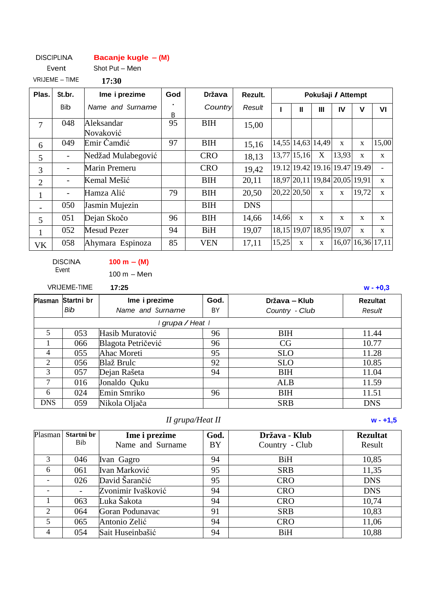#### DISCIPLINA **Bacanje kugle – (M)**

Event Shot Put – Men

VRIJEME – TIME **17:30** 

| Plas.          | St.br.     | Ime i prezime           | God          | <b>Država</b> | Rezult.    |             |                               |              | Pokušaji / Attempt |                               |                          |
|----------------|------------|-------------------------|--------------|---------------|------------|-------------|-------------------------------|--------------|--------------------|-------------------------------|--------------------------|
|                | <b>Bib</b> | Name and Surname        | <sub>B</sub> | Country       | Result     |             | Ш<br>Ш                        |              | IV                 | v                             | VI                       |
| 7              | 048        | Aleksandar<br>Novaković | 95           | <b>BIH</b>    | 15,00      |             |                               |              |                    |                               |                          |
| 6              | 049        | Emir Čamđić             | 97           | <b>BIH</b>    | 15,16      |             | 14,55 14,63 14,49             |              | $\mathbf{x}$       | $\mathbf{X}$                  | 15,00                    |
| 5              |            | Nedžad Mulabegović      |              | <b>CRO</b>    | 18,13      |             | 13,77 15,16                   | X            | 13,93              | X                             | X                        |
| 3              |            | Marin Premeru           |              | <b>CRO</b>    | 19,42      |             |                               |              |                    | 19.12 19.42 19.16 19.47 19.49 | $\overline{\phantom{a}}$ |
| $\overline{2}$ |            | Kemal Mešić             |              | <b>BIH</b>    | 20,11      |             | 18,97 20,11 19,84 20,05 19,91 |              |                    |                               | $\mathbf{x}$             |
| $\mathbf{1}$   |            | Hamza Alić              | 79           | <b>BIH</b>    | 20,50      | 20,22 20,50 |                               | $\mathbf{x}$ | $\mathbf{x}$       | 19,72                         | $\mathbf X$              |
|                | 050        | Jasmin Mujezin          |              | <b>BIH</b>    | <b>DNS</b> |             |                               |              |                    |                               |                          |
| 5              | 051        | Dejan Skočo             | 96           | <b>BIH</b>    | 14,66      | 14,66       | $\mathbf{x}$                  | $\mathbf{x}$ | $\mathbf{x}$       | X                             | X                        |
| $\mathbf{1}$   | 052        | <b>Mesud Pezer</b>      | 94           | <b>BiH</b>    | 19,07      |             | 18,15 19,07                   |              | 18,95 19,07        | $\mathbf X$                   | $\mathbf{x}$             |
| VK             | 058        | Ahymara Espinoza        | 85           | <b>VEN</b>    | 17,11      | 15,25       | $\mathbf{x}$                  | $\mathbf{X}$ |                    | 16,07 16,36 17,11             |                          |

DISCINA Event

**100 m – (M)**  100 m – Men

VRIJEME-TIME **17:25 w - +0,3**

|                | Plasman Startni br | Ime i prezime      | God. | Država – Klub  | <b>Rezultat</b> |
|----------------|--------------------|--------------------|------|----------------|-----------------|
|                | Bib                | Name and Surname   | BY   | Country - Club | Result          |
|                |                    | grupa / Heat I     |      |                |                 |
| 5              | 053                | Hasib Muratović    | 96   | <b>BIH</b>     | 11.44           |
|                | 066                | Blagota Petričević | 96   | CG             | 10.77           |
| $\overline{4}$ | 055                | Ahac Moreti        | 95   | <b>SLO</b>     | 11.28           |
| 2              | 056                | Blaž Brulc         | 92   | <b>SLO</b>     | 10.85           |
| 3              | 057                | Dejan Rašeta       | 94   | <b>BIH</b>     | 11.04           |
| $\tau$         | 016                | Jonaldo Quku       |      | <b>ALB</b>     | 11.59           |
| 6              | 024                | Emin Smriko        | 96   | <b>BIH</b>     | 11.51           |
| <b>DNS</b>     | 059                | Nikola Oljača      |      | <b>SRB</b>     | <b>DNS</b>      |

### *II grupa/Heat II* **w - +1,5**

| Plasman                     | Startni br<br>God.<br>Ime i prezime<br>Država - Klub |                    |           | <b>Rezultat</b> |            |
|-----------------------------|------------------------------------------------------|--------------------|-----------|-----------------|------------|
|                             | <b>Bib</b>                                           | Name and Surname   | <b>BY</b> | Country - Club  | Result     |
| 3                           | 046                                                  | Ivan Gagro         | 94        | <b>BiH</b>      | 10,85      |
| 6                           | 061                                                  | Ivan Marković      | 95        | <b>SRB</b>      | 11,35      |
|                             | 026                                                  | David Šarančić     | 95        | <b>CRO</b>      | <b>DNS</b> |
|                             |                                                      | Zvonimir Ivašković | 94        | <b>CRO</b>      | <b>DNS</b> |
|                             | 063                                                  | Luka Šakota        | 94        | <b>CRO</b>      | 10,74      |
| $\mathcal{D}_{\mathcal{L}}$ | 064                                                  | Goran Podunavac    | 91        | <b>SRB</b>      | 10,83      |
| 5                           | 065                                                  | Antonio Zelić      | 94        | <b>CRO</b>      | 11,06      |
| 4                           | 054                                                  | Sait Huseinbašić   | 94        | <b>BiH</b>      | 10,88      |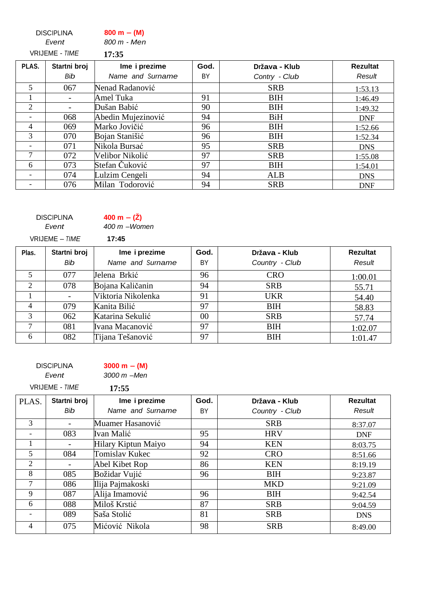DISCIPLINA Event **800 m – (M)** 800 m - Men

|                | <b>VRIJEME - TIME</b> | 17:35              |      |               |                 |
|----------------|-----------------------|--------------------|------|---------------|-----------------|
| PLAS.          | Startni broj          | Ime i prezime      | God. | Država - Klub | <b>Rezultat</b> |
|                | Bib                   | Name and Surname   | BY   | Contry - Club | Result          |
| 5              | 067                   | Nenad Radanović    |      | <b>SRB</b>    | 1:53.13         |
|                | -                     | Amel Tuka          | 91   | <b>BIH</b>    | 1:46.49         |
| $\overline{2}$ | -                     | Dušan Babić        | 90   | <b>BIH</b>    | 1:49.32         |
|                | 068                   | Abedin Mujezinović | 94   | <b>BiH</b>    | <b>DNF</b>      |
| $\overline{4}$ | 069                   | Marko Jovičić      | 96   | <b>BIH</b>    | 1:52.66         |
| 3              | 070                   | Bojan Stanišić     | 96   | <b>BIH</b>    | 1:52.34         |
|                | 071                   | Nikola Bursać      | 95   | <b>SRB</b>    | <b>DNS</b>      |
| $\tau$         | 072                   | Velibor Nikolić    | 97   | <b>SRB</b>    | 1:55.08         |
| 6              | 073                   | Stefan Čuković     | 97   | <b>BIH</b>    | 1:54.01         |
|                | 074                   | Lulzim Cengeli     | 94   | <b>ALB</b>    | <b>DNS</b>      |
|                | 076                   | Milan Todorović    | 94   | <b>SRB</b>    | <b>DNF</b>      |
|                |                       |                    |      |               |                 |

|       | <b>DISCIPLINA</b><br>Event | 400 m $- (Z)$<br>$400 \text{ m}$ -Women |        |                |                 |
|-------|----------------------------|-----------------------------------------|--------|----------------|-----------------|
|       | VRIJEME – TIME             | 17:45                                   |        |                |                 |
| Plas. | Startni broj               | Ime i prezime                           | God.   | Država - Klub  | <b>Rezultat</b> |
|       | Bib                        | Name and Surname                        | BY     | Country - Club | Result          |
| 5     | 077                        | Jelena Brkić                            | 96     | <b>CRO</b>     | 1:00.01         |
| 2     | 078                        | Bojana Kaličanin                        | 94     | <b>SRB</b>     | 55.71           |
|       |                            | Viktoria Nikolenka                      | 91     | <b>UKR</b>     | 54.40           |
| 4     | 079                        | Kanita Bilić                            | 97     | <b>BIH</b>     | 58.83           |
| 3     | 062                        | Katarina Sekulić                        | $00\,$ | <b>SRB</b>     | 57.74           |
| 7     | 081                        | Ivana Macanović                         | 97     | <b>BIH</b>     | 1:02.07         |
| 6     | 082                        | Tijana Tešanović                        | 97     | <b>BIH</b>     | 1:01.47         |

DISCIPLINA

**3000 m – (M)** 

Event

3000 m –Men VRIJEME - TIME **17:55** 

| PLAS.                    | Startni broj | Ime i prezime       | God. | Država - Klub  | <b>Rezultat</b> |
|--------------------------|--------------|---------------------|------|----------------|-----------------|
|                          | Bib          | Name and Surname    | BY   | Country - Club | Result          |
| 3                        |              | Muamer Hasanović    |      | <b>SRB</b>     | 8:37.07         |
| $\overline{\phantom{a}}$ | 083          | Ivan Malić          | 95   | <b>HRV</b>     | <b>DNF</b>      |
|                          |              | Hilary Kiptun Maiyo | 94   | <b>KEN</b>     | 8:03.75         |
| 5                        | 084          | Tomislav Kukec      | 92   | <b>CRO</b>     | 8:51.66         |
| 2                        |              | Abel Kibet Rop      | 86   | <b>KEN</b>     | 8:19.19         |
| 8                        | 085          | Božidar Vujić       | 96   | <b>BIH</b>     | 9:23.87         |
| 7                        | 086          | Ilija Pajmakoski    |      | <b>MKD</b>     | 9:21.09         |
| 9                        | 087          | Alija Imamović      | 96   | <b>BIH</b>     | 9:42.54         |
| 6                        | 088          | Miloš Krstić        | 87   | <b>SRB</b>     | 9:04.59         |
|                          | 089          | Saša Stolić         | 81   | <b>SRB</b>     | <b>DNS</b>      |
| 4                        | 075          | Mićović Nikola      | 98   | <b>SRB</b>     | 8:49.00         |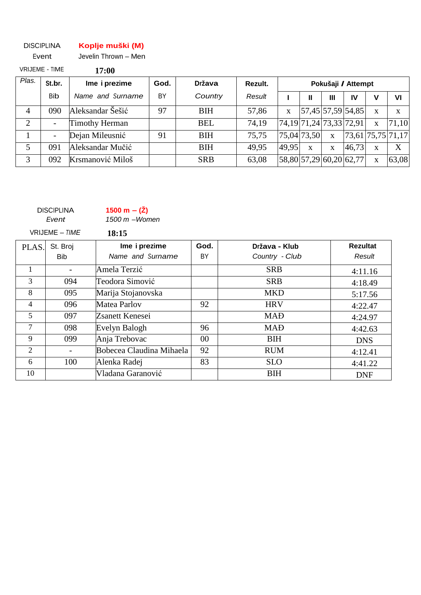#### DISCIPLINA **Koplje muški (M)**

| Event                 |     | Jevelin Thrown - Men |      |            |         |
|-----------------------|-----|----------------------|------|------------|---------|
| <b>VRIJEME - TIME</b> |     | 17:00                |      |            |         |
| Plas.<br>St.br.       |     | Ime i prezime        | God. | Država     | Rezult. |
|                       | Bib | Name and Surname     | BY   | Country    | Result  |
| 090<br>4              |     | Aleksandar Šešić     | 97   | <b>BIH</b> | 57,86   |
|                       |     | Timothy Herman       |      | REI        | 74 TQ   |

| 090 | Aleksandar Šešić      | Q <sub>7</sub> | <b>BIH</b> | 57.86 |       |              |              | 57,45 57,59 54,85                     |       |
|-----|-----------------------|----------------|------------|-------|-------|--------------|--------------|---------------------------------------|-------|
|     | <b>Timothy Herman</b> |                | <b>BEL</b> | 74.19 |       |              |              | $[74,19]$ $71,24$ $[73,33]$ $[72,91]$ | 71,10 |
|     | Dejan Mileusnić       | 91             | <b>BIH</b> | 75.75 |       | 75,04 73,50  | $\mathbf{X}$ | [73,61 75,75 71,17]                   |       |
| 091 | Aleksandar Mučić      |                | <b>BIH</b> | 49.95 | 49.95 | $\mathbf{x}$ | $\mathbf{X}$ | 46,73                                 |       |
| 092 | Krsmanović Miloš      |                | <b>SRB</b> | 63.08 |       |              |              | 58,80 57,29 60,20 62,77               | 63,08 |

**Pokušaji / Attempt**

**I II III IV V VI**

| <b>DISCIPLINA</b><br>Event | 1500 m $- (Z)$<br>$1500$ m $-W$ omen |  |  |  |  |
|----------------------------|--------------------------------------|--|--|--|--|
| VRIJEME – <i>TIME</i>      | 18:15                                |  |  |  |  |
| PLAS. St. Broj             | Ime i prezim                         |  |  |  |  |

| PLAS. | St. Broj   | Ime i prezime<br>God.    |        | Država - Klub  | <b>Rezultat</b> |
|-------|------------|--------------------------|--------|----------------|-----------------|
|       | <b>Bib</b> | Name and Surname         | BY     | Country - Club | Result          |
| 1     |            | Amela Terzić             |        | <b>SRB</b>     | 4:11.16         |
| 3     | 094        | Teodora Simović          |        | <b>SRB</b>     | 4:18.49         |
| 8     | 095        | Marija Stojanovska       |        | <b>MKD</b>     | 5:17.56         |
| 4     | 096        | Matea Parlov             | 92     | <b>HRV</b>     | 4:22.47         |
| 5     | 097        | Zsanett Kenesei          |        | <b>MAD</b>     | 4:24.97         |
| 7     | 098        | Evelyn Balogh            | 96     | <b>MAD</b>     | 4:42.63         |
| 9     | 099        | Anja Trebovac            | $00\,$ | <b>BIH</b>     | <b>DNS</b>      |
| 2     |            | Bobecea Claudina Mihaela | 92     | <b>RUM</b>     | 4:12.41         |
| 6     | 100        | Alenka Radej             | 83     | <b>SLO</b>     | 4:41.22         |
| 10    |            | Vladana Garanović        |        | <b>BIH</b>     | <b>DNF</b>      |